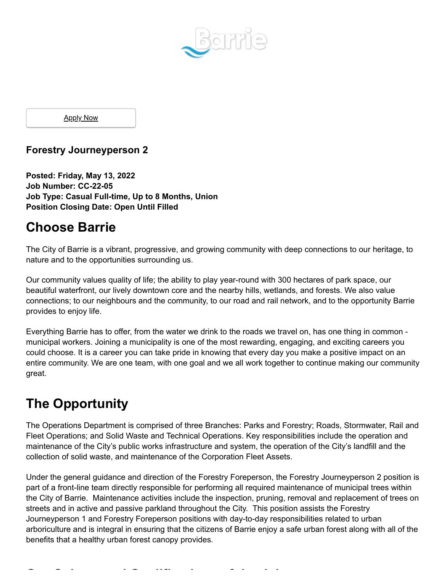

**Apply Now** 

### **Forestry Journeyperson 2**

**Posted: Friday, May 13, 2022 Job Number: CC-22-05 Job Type: Casual Full-time, Up to 8 Months, Union Position Closing Date: Open Until Filled**

### **Choose Barrie**

The City of Barrie is a vibrant, progressive, and growing community with deep connections to our heritage, to nature and to the opportunities surrounding us.

Our community values quality of life; the ability to play year-round with 300 hectares of park space, our beautiful waterfront, our lively downtown core and the nearby hills, wetlands, and forests. We also value connections; to our neighbours and the community, to our road and rail network, and to the opportunity Barrie provides to enjoy life.

Everything Barrie has to offer, from the water we drink to the roads we travel on, has one thing in common municipal workers. Joining a municipality is one of the most rewarding, engaging, and exciting careers you could choose. It is a career you can take pride in knowing that every day you make a positive impact on an entire community. We are one team, with one goal and we all work together to continue making our community great.

## **The Opportunity**

The Operations Department is comprised of three Branches: Parks and Forestry; Roads, Stormwater, Rail and Fleet Operations; and Solid Waste and Technical Operations. Key responsibilities include the operation and maintenance of the City's public works infrastructure and system, the operation of the City's landfill and the collection of solid waste, and maintenance of the Corporation Fleet Assets.

Under the general guidance and direction of the Forestry Foreperson, the Forestry Journeyperson 2 position is part of a front-line team directly responsible for performing all required maintenance of municipal trees within the City of Barrie. Maintenance activities include the inspection, pruning, removal and replacement of trees on streets and in active and passive parkland throughout the City. This position assists the Forestry Journeyperson 1 and Forestry Foreperson positions with day-to-day responsibilities related to urban arboriculture and is integral in ensuring that the citizens of Barrie enjoy a safe urban forest along with all of the benefits that a healthy urban forest canopy provides.

**O C l d Q lifi i f h J b**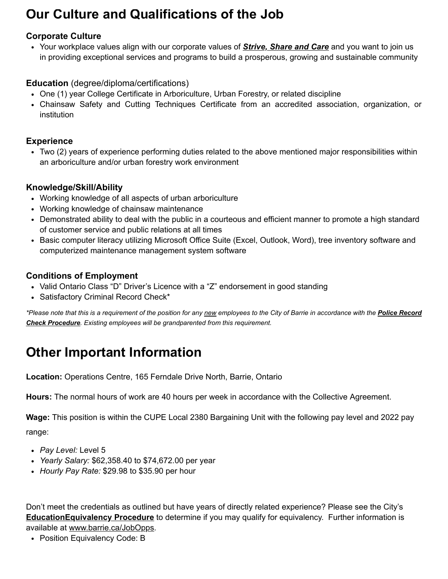# **Our Culture and Qualifications of the Job**

#### **Corporate Culture**

Your workplace values align with our corporate values of *Strive, Share and Care* and you want to join us in providing exceptional services and programs to build a prosperous, growing and sustainable community

#### **Education** (degree/diploma/certifications)

- One (1) year College Certificate in Arboriculture, Urban Forestry, or related discipline
- Chainsaw Safety and Cutting Techniques Certificate from an accredited association, organization, or institution

#### **Experience**

Two (2) years of experience performing duties related to the above mentioned major responsibilities within an arboriculture and/or urban forestry work environment

#### **Knowledge/Skill/Ability**

- Working knowledge of all aspects of urban arboriculture
- Working knowledge of chainsaw maintenance
- Demonstrated ability to deal with the public in a courteous and efficient manner to promote a high standard of customer service and public relations at all times
- Basic computer literacy utilizing Microsoft Office Suite (Excel, Outlook, Word), tree inventory software and computerized maintenance management system software

### **Conditions of Employment**

- Valid Ontario Class "D" Driver's Licence with a "Z" endorsement in good standing
- Satisfactory Criminal Record Check\*

*\*Please note that this is a requirement of the position for any new employees to the City of Barrie in accordance with the Police Record Check Procedure. Existing employees will be grandparented from this requirement.*

# **Other Important Information**

**Location:** Operations Centre, 165 Ferndale Drive North, Barrie, Ontario

**Hours:** The normal hours of work are 40 hours per week in accordance with the Collective Agreement.

**Wage:** This position is within the CUPE Local 2380 Bargaining Unit with the following pay level and 2022 pay range:

- *Pay Level:* Level 5
- *Yearly Salary:* \$62,358.40 to \$74,672.00 per year
- *Hourly Pay Rate:* \$29.98 to \$35.90 per hour

Don't meet the credentials as outlined but have years of directly related experience? Please see the City's **EducationEquivalency Procedure** to determine if you may qualify for equivalency. Further information is available at www.barrie.ca/JobOpps.

• Position Equivalency Code: B